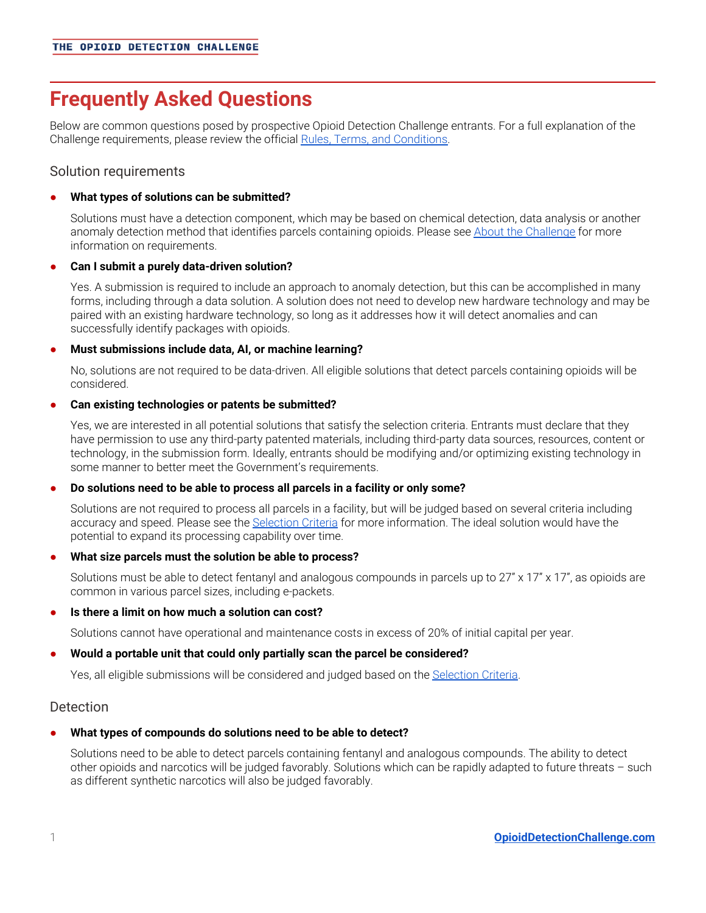# **Frequently Asked Questions**

Below are common questions posed by prospective Opioid Detection Challenge entrants. For a full explanation of the Challenge requirements, please review the official Rules, Terms, and [Conditions](https://www.opioiddetectionchallenge.com/rules-terms-conditions/).

# Solution requirements

#### **● What types of solutions can be submitted?**

Solutions must have a detection component, which may be based on chemical detection, data analysis or another anomaly detection method that identifies parcels containing opioids. Please see About the [Challenge](https://www.opioiddetectionchallenge.com/about-the-challenge/) for more information on requirements.

### **● Can I submit a purely data-driven solution?**

Yes. A submission is required to include an approach to anomaly detection, but this can be accomplished in many forms, including through a data solution. A solution does not need to develop new hardware technology and may be paired with an existing hardware technology, so long as it addresses how it will detect anomalies and can successfully identify packages with opioids.

#### **● Must submissions include data, AI, or machine learning?**

No, solutions are not required to be data-driven. All eligible solutions that detect parcels containing opioids will be considered.

#### **● Can existing technologies or patents be submitted?**

Yes, we are interested in all potential solutions that satisfy the selection criteria. Entrants must declare that they have permission to use any third-party patented materials, including third-party data sources, resources, content or technology, in the submission form. Ideally, entrants should be modifying and/or optimizing existing technology in some manner to better meet the Government's requirements.

#### **● Do solutions need to be able to process all parcels in a facility or only some?**

Solutions are not required to process all parcels in a facility, but will be judged based on several criteria including accuracy and speed. Please see the [Selection](https://www.opioiddetectionchallenge.com/selection-criteria/) Criteria for more information. The ideal solution would have the potential to expand its processing capability over time.

#### **● What size parcels must the solution be able to process?**

Solutions must be able to detect fentanyl and analogous compounds in parcels up to 27" x 17" x 17", as opioids are common in various parcel sizes, including e-packets.

#### **● Is there a limit on how much a solution can cost?**

Solutions cannot have operational and maintenance costs in excess of 20% of initial capital per year.

#### **● Would a portable unit that could only partially scan the parcel be considered?**

Yes, all eligible submissions will be considered and judged based on the [Selection](https://www.opioiddetectionchallenge.com/selection-criteria/) Criteria.

# **Detection**

# **● What types of compounds do solutions need to be able to detect?**

Solutions need to be able to detect parcels containing fentanyl and analogous compounds. The ability to detect other opioids and narcotics will be judged favorably. Solutions which can be rapidly adapted to future threats – such as different synthetic narcotics will also be judged favorably.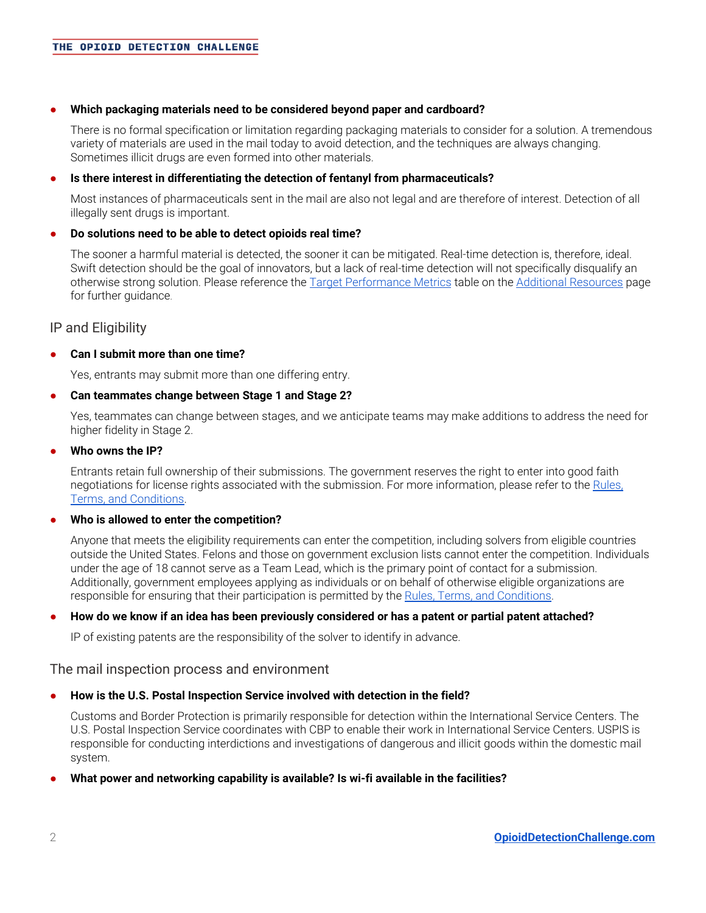#### **● Which packaging materials need to be considered beyond paper and cardboard?**

There is no formal specification or limitation regarding packaging materials to consider for a solution. A tremendous variety of materials are used in the mail today to avoid detection, and the techniques are always changing. Sometimes illicit drugs are even formed into other materials.

#### **● Is there interest in differentiating the detection of fentanyl from pharmaceuticals?**

Most instances of pharmaceuticals sent in the mail are also not legal and are therefore of interest. Detection of all illegally sent drugs is important.

#### **● Do solutions need to be able to detect opioids real time?**

The sooner a harmful material is detected, the sooner it can be mitigated. Real-time detection is, therefore, ideal. Swift detection should be the goal of innovators, but a lack of real-time detection will not specifically disqualify an otherwise strong solution. Please reference the Target [Performance](https://www.opioiddetectionchallenge.com/additional-resources/#target-performance-metrics) Metrics table on the Additional [Resources](https://www.opioiddetectionchallenge.com/additional-resources/) page for further guidance.

# IP and Eligibility

#### **● Can I submit more than one time?**

Yes, entrants may submit more than one differing entry.

#### **● Can teammates change between Stage 1 and Stage 2?**

Yes, teammates can change between stages, and we anticipate teams may make additions to address the need for higher fidelity in Stage 2.

#### **● Who owns the IP?**

Entrants retain full ownership of their submissions. The government reserves the right to enter into good faith negotiations for license rights associated with the submission. For more information, please refer to the [Rules,](https://www.opioiddetectionchallenge.com/rules-terms-conditions/) Terms, and [Conditions.](https://www.opioiddetectionchallenge.com/rules-terms-conditions/)

# **● Who is allowed to enter the competition?**

Anyone that meets the eligibility requirements can enter the competition, including solvers from eligible countries outside the United States. Felons and those on government exclusion lists cannot enter the competition. Individuals under the age of 18 cannot serve as a Team Lead, which is the primary point of contact for a submission. Additionally, government employees applying as individuals or on behalf of otherwise eligible organizations are responsible for ensuring that their participation is permitted by the Rules, Terms, and [Conditions](https://www.opioiddetectionchallenge.com/rules-terms-conditions/).

#### • How do we know if an idea has been previously considered or has a patent or partial patent attached?

IP of existing patents are the responsibility of the solver to identify in advance.

#### The mail inspection process and environment

#### **● How is the U.S. Postal Inspection Service involved with detection in the field?**

Customs and Border Protection is primarily responsible for detection within the International Service Centers. The U.S. Postal Inspection Service coordinates with CBP to enable their work in International Service Centers. USPIS is responsible for conducting interdictions and investigations of dangerous and illicit goods within the domestic mail system.

**● What power and networking capability is available? Is wi-fi available in the facilities?**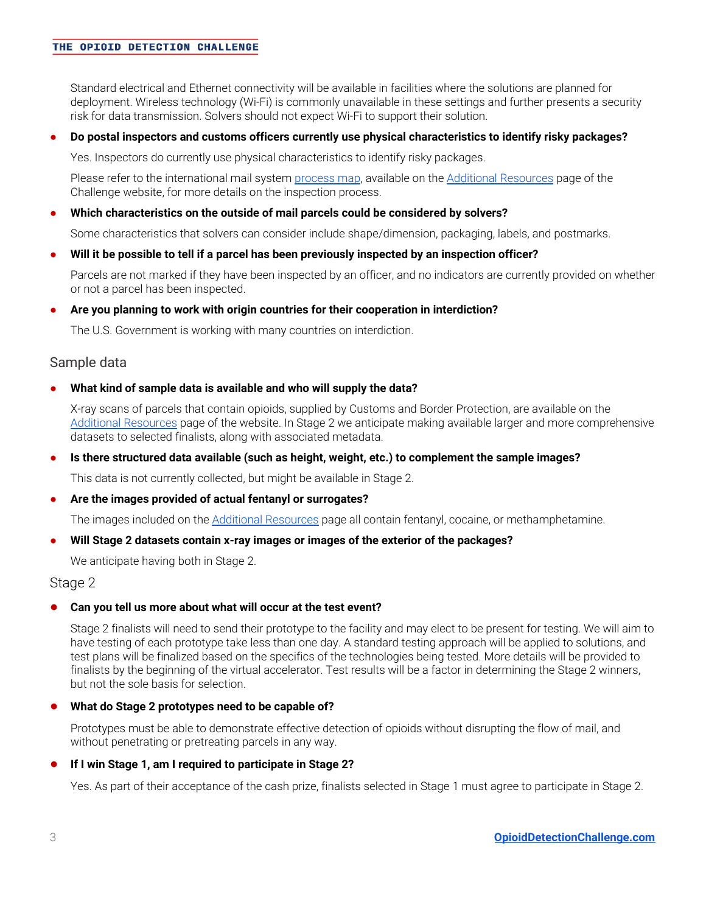#### THE OPIOID DETECTION CHALLENGE

Standard electrical and Ethernet connectivity will be available in facilities where the solutions are planned for deployment. Wireless technology (Wi-Fi) is commonly unavailable in these settings and further presents a security risk for data transmission. Solvers should not expect Wi-Fi to support their solution.

#### **● Do postal inspectors and customs officers currently use physical characteristics to identify risky packages?**

Yes. Inspectors do currently use physical characteristics to identify risky packages.

Please refer to the international mail system [process](http://www.opioiddetectionchallenge.com/wp-content/uploads/2019/02/Opioids_ProcessMap_02.27.2019.pdf) map, available on the Additional [Resources](https://www.opioiddetectionchallenge.com/additional-resources/) page of the Challenge website, for more details on the inspection process.

#### **● Which characteristics on the outside of mail parcels could be considered by solvers?**

Some characteristics that solvers can consider include shape/dimension, packaging, labels, and postmarks.

#### **● Will it be possible to tell if a parcel has been previously inspected by an inspection officer?**

Parcels are not marked if they have been inspected by an officer, and no indicators are currently provided on whether or not a parcel has been inspected.

#### **● Are you planning to work with origin countries for their cooperation in interdiction?**

The U.S. Government is working with many countries on interdiction.

#### Sample data

**● What kind of sample data is available and who will supply the data?**

X-ray scans of parcels that contain opioids, supplied by Customs and Border Protection, are available on the Additional [Resources](https://www.opioiddetectionchallenge.com/additional-resources/) page of the website. In Stage 2 we anticipate making available larger and more comprehensive datasets to selected finalists, along with associated metadata.

**● Is there structured data available (such as height, weight, etc.) to complement the sample images?**

This data is not currently collected, but might be available in Stage 2.

#### **● Are the images provided of actual fentanyl or surrogates?**

The images included on the Additional [Resources](https://www.opioiddetectionchallenge.com/additional-resources/) page all contain fentanyl, cocaine, or methamphetamine.

#### **● Will Stage 2 datasets contain x-ray images or images of the exterior of the packages?**

We anticipate having both in Stage 2.

#### Stage 2

#### **● Can you tell us more about what will occur at the test event?**

Stage 2 finalists will need to send their prototype to the facility and may elect to be present for testing. We will aim to have testing of each prototype take less than one day. A standard testing approach will be applied to solutions, and test plans will be finalized based on the specifics of the technologies being tested. More details will be provided to finalists by the beginning of the virtual accelerator. Test results will be a factor in determining the Stage 2 winners, but not the sole basis for selection.

#### **● What do Stage 2 prototypes need to be capable of?**

Prototypes must be able to demonstrate effective detection of opioids without disrupting the flow of mail, and without penetrating or pretreating parcels in any way.

#### **● If I win Stage 1, am I required to participate in Stage 2?**

Yes. As part of their acceptance of the cash prize, finalists selected in Stage 1 must agree to participate in Stage 2.